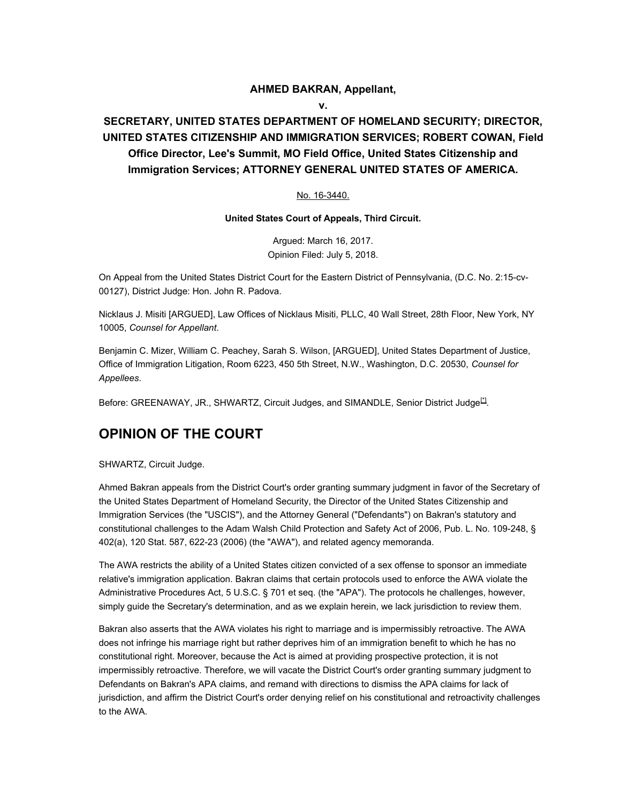#### **AHMED BAKRAN, Appellant,**

**v.**

# **SECRETARY, UNITED STATES DEPARTMENT OF HOMELAND SECURITY; DIRECTOR, UNITED STATES CITIZENSHIP AND IMMIGRATION SERVICES; ROBERT COWAN, Field Office Director, Lee's Summit, MO Field Office, United States Citizenship and Immigration Services; ATTORNEY GENERAL UNITED STATES OF AMERICA.**

#### No. 16-3440.

#### **United States Court of Appeals, Third Circuit.**

Argued: March 16, 2017. Opinion Filed: July 5, 2018.

On Appeal from the United States District Court for the Eastern District of Pennsylvania, (D.C. No. 2:15-cv-00127), District Judge: Hon. John R. Padova.

Nicklaus J. Misiti [ARGUED], Law Offices of Nicklaus Misiti, PLLC, 40 Wall Street, 28th Floor, New York, NY 10005, *Counsel for Appellant*.

Benjamin C. Mizer, William C. Peachey, Sarah S. Wilson, [ARGUED], United States Department of Justice, Office of Immigration Litigation, Room 6223, 450 5th Street, N.W., Washington, D.C. 20530, *Counsel for Appellees*.

Before: GREENAWAY, JR., SHWARTZ, Circuit Judges, and SIMANDLE, Senior District Judge<sup>[1]</sup>.

# **OPINION OF THE COURT**

SHWARTZ, Circuit Judge.

Ahmed Bakran appeals from the District Court's order granting summary judgment in favor of the Secretary of the United States Department of Homeland Security, the Director of the United States Citizenship and Immigration Services (the "USCIS"), and the Attorney General ("Defendants") on Bakran's statutory and constitutional challenges to the Adam Walsh Child Protection and Safety Act of 2006, Pub. L. No. 109-248, § 402(a), 120 Stat. 587, 622-23 (2006) (the "AWA"), and related agency memoranda.

The AWA restricts the ability of a United States citizen convicted of a sex offense to sponsor an immediate relative's immigration application. Bakran claims that certain protocols used to enforce the AWA violate the Administrative Procedures Act, 5 U.S.C. § 701 et seq. (the "APA"). The protocols he challenges, however, simply guide the Secretary's determination, and as we explain herein, we lack jurisdiction to review them.

Bakran also asserts that the AWA violates his right to marriage and is impermissibly retroactive. The AWA does not infringe his marriage right but rather deprives him of an immigration benefit to which he has no constitutional right. Moreover, because the Act is aimed at providing prospective protection, it is not impermissibly retroactive. Therefore, we will vacate the District Court's order granting summary judgment to Defendants on Bakran's APA claims, and remand with directions to dismiss the APA claims for lack of jurisdiction, and affirm the District Court's order denying relief on his constitutional and retroactivity challenges to the AWA.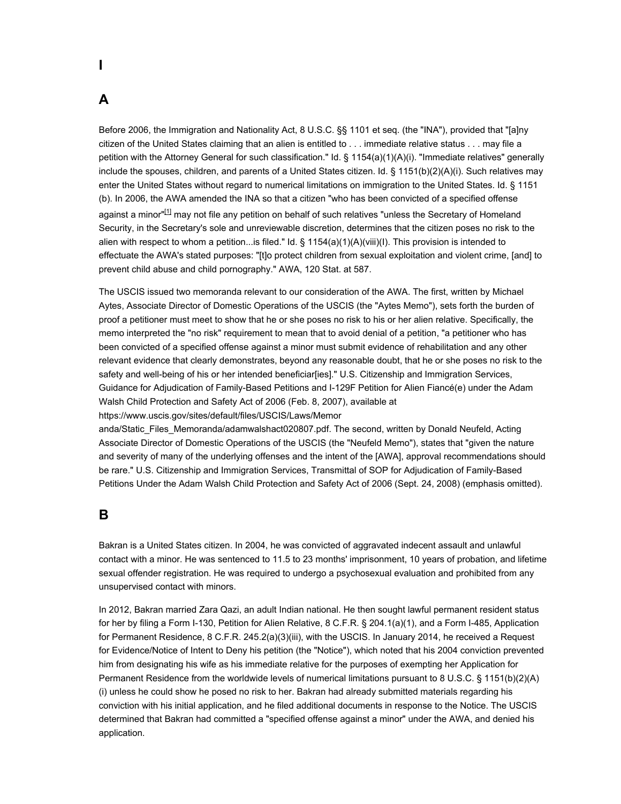# **A**

**I**

Before 2006, the Immigration and Nationality Act, 8 U.S.C. §§ 1101 et seq. (the "INA"), provided that "[a]ny citizen of the United States claiming that an alien is entitled to . . . immediate relative status . . . may file a petition with the Attorney General for such classification." Id. § 1154(a)(1)(A)(i). "Immediate relatives" generally include the spouses, children, and parents of a United States citizen. Id. § 1151(b)(2)(A)(i). Such relatives may enter the United States without regard to numerical limitations on immigration to the United States. Id. § 1151 (b). In 2006, the AWA amended the INA so that a citizen "who has been convicted of a specified offense against a minor"<sup>[1]</sup> may not file any petition on behalf of such relatives "unless the Secretary of Homeland Security, in the Secretary's sole and unreviewable discretion, determines that the citizen poses no risk to the alien with respect to whom a petition...is filed." Id. § 1154(a)(1)(A)(viii)(I). This provision is intended to effectuate the AWA's stated purposes: "[t]o protect children from sexual exploitation and violent crime, [and] to prevent child abuse and child pornography." AWA, 120 Stat. at 587.

The USCIS issued two memoranda relevant to our consideration of the AWA. The first, written by Michael Aytes, Associate Director of Domestic Operations of the USCIS (the "Aytes Memo"), sets forth the burden of proof a petitioner must meet to show that he or she poses no risk to his or her alien relative. Specifically, the memo interpreted the "no risk" requirement to mean that to avoid denial of a petition, "a petitioner who has been convicted of a specified offense against a minor must submit evidence of rehabilitation and any other relevant evidence that clearly demonstrates, beyond any reasonable doubt, that he or she poses no risk to the safety and well-being of his or her intended beneficiar[ies]." U.S. Citizenship and Immigration Services, Guidance for Adjudication of Family-Based Petitions and I-129F Petition for Alien Fiancé(e) under the Adam Walsh Child Protection and Safety Act of 2006 (Feb. 8, 2007), available at

https://www.uscis.gov/sites/default/files/USCIS/Laws/Memor

anda/Static\_Files\_Memoranda/adamwalshact020807.pdf. The second, written by Donald Neufeld, Acting Associate Director of Domestic Operations of the USCIS (the "Neufeld Memo"), states that "given the nature and severity of many of the underlying offenses and the intent of the [AWA], approval recommendations should be rare." U.S. Citizenship and Immigration Services, Transmittal of SOP for Adjudication of Family-Based Petitions Under the Adam Walsh Child Protection and Safety Act of 2006 (Sept. 24, 2008) (emphasis omitted).

### **B**

Bakran is a United States citizen. In 2004, he was convicted of aggravated indecent assault and unlawful contact with a minor. He was sentenced to 11.5 to 23 months' imprisonment, 10 years of probation, and lifetime sexual offender registration. He was required to undergo a psychosexual evaluation and prohibited from any unsupervised contact with minors.

In 2012, Bakran married Zara Qazi, an adult Indian national. He then sought lawful permanent resident status for her by filing a Form I-130, Petition for Alien Relative, 8 C.F.R. § 204.1(a)(1), and a Form I-485, Application for Permanent Residence, 8 C.F.R. 245.2(a)(3)(iii), with the USCIS. In January 2014, he received a Request for Evidence/Notice of Intent to Deny his petition (the "Notice"), which noted that his 2004 conviction prevented him from designating his wife as his immediate relative for the purposes of exempting her Application for Permanent Residence from the worldwide levels of numerical limitations pursuant to 8 U.S.C. § 1151(b)(2)(A) (i) unless he could show he posed no risk to her. Bakran had already submitted materials regarding his conviction with his initial application, and he filed additional documents in response to the Notice. The USCIS determined that Bakran had committed a "specified offense against a minor" under the AWA, and denied his application.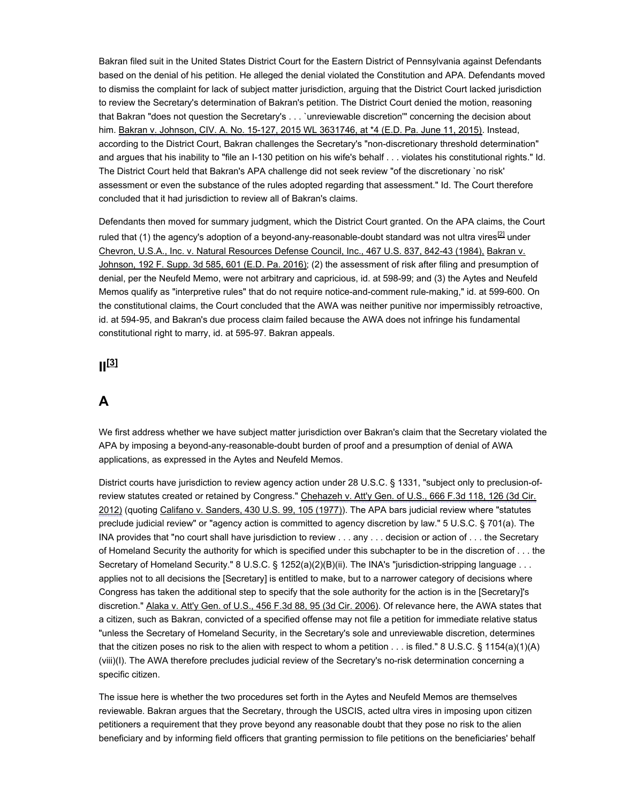Bakran filed suit in the United States District Court for the Eastern District of Pennsylvania against Defendants based on the denial of his petition. He alleged the denial violated the Constitution and APA. Defendants moved to dismiss the complaint for lack of subject matter jurisdiction, arguing that the District Court lacked jurisdiction to review the Secretary's determination of Bakran's petition. The District Court denied the motion, reasoning that Bakran "does not question the Secretary's . . . `unreviewable discretion'" concerning the decision about him. Bakran v. Johnson, CIV. A. No. 15-127, 2015 WL 3631746, at \*4 (E.D. Pa. June 11, 2015). Instead, according to the District Court, Bakran challenges the Secretary's "non-discretionary threshold determination" and argues that his inability to "file an I-130 petition on his wife's behalf . . . violates his constitutional rights." Id. The District Court held that Bakran's APA challenge did not seek review "of the discretionary `no risk' assessment or even the substance of the rules adopted regarding that assessment." Id. The Court therefore concluded that it had jurisdiction to review all of Bakran's claims.

Defendants then moved for summary judgment, which the District Court granted. On the APA claims, the Court ruled that (1) the agency's adoption of a beyond-any-reasonable-doubt standard was not ultra vires<sup>[2]</sup> under Chevron, U.S.A., Inc. v. Natural Resources Defense Council, Inc., 467 U.S. 837, 842-43 (1984), Bakran v. Johnson, 192 F. Supp. 3d 585, 601 (E.D. Pa. 2016); (2) the assessment of risk after filing and presumption of denial, per the Neufeld Memo, were not arbitrary and capricious, id. at 598-99; and (3) the Aytes and Neufeld Memos qualify as "interpretive rules" that do not require notice-and-comment rule-making," id. at 599-600. On the constitutional claims, the Court concluded that the AWA was neither punitive nor impermissibly retroactive, id. at 594-95, and Bakran's due process claim failed because the AWA does not infringe his fundamental constitutional right to marry, id. at 595-97. Bakran appeals.

# **II[3]**

# **A**

We first address whether we have subject matter jurisdiction over Bakran's claim that the Secretary violated the APA by imposing a beyond-any-reasonable-doubt burden of proof and a presumption of denial of AWA applications, as expressed in the Aytes and Neufeld Memos.

District courts have jurisdiction to review agency action under 28 U.S.C. § 1331, "subject only to preclusion-ofreview statutes created or retained by Congress." Chehazeh v. Att'y Gen. of U.S., 666 F.3d 118, 126 (3d Cir. 2012) (quoting Califano v. Sanders, 430 U.S. 99, 105 (1977)). The APA bars judicial review where "statutes preclude judicial review" or "agency action is committed to agency discretion by law." 5 U.S.C. § 701(a). The INA provides that "no court shall have jurisdiction to review . . . any . . . decision or action of . . . the Secretary of Homeland Security the authority for which is specified under this subchapter to be in the discretion of . . . the Secretary of Homeland Security." 8 U.S.C. § 1252(a)(2)(B)(ii). The INA's "jurisdiction-stripping language . . . applies not to all decisions the [Secretary] is entitled to make, but to a narrower category of decisions where Congress has taken the additional step to specify that the sole authority for the action is in the [Secretary]'s discretion." Alaka v. Att'y Gen. of U.S., 456 F.3d 88, 95 (3d Cir. 2006). Of relevance here, the AWA states that a citizen, such as Bakran, convicted of a specified offense may not file a petition for immediate relative status "unless the Secretary of Homeland Security, in the Secretary's sole and unreviewable discretion, determines that the citizen poses no risk to the alien with respect to whom a petition . . . is filed." 8 U.S.C. § 1154(a)(1)(A) (viii)(I). The AWA therefore precludes judicial review of the Secretary's no-risk determination concerning a specific citizen.

The issue here is whether the two procedures set forth in the Aytes and Neufeld Memos are themselves reviewable. Bakran argues that the Secretary, through the USCIS, acted ultra vires in imposing upon citizen petitioners a requirement that they prove beyond any reasonable doubt that they pose no risk to the alien beneficiary and by informing field officers that granting permission to file petitions on the beneficiaries' behalf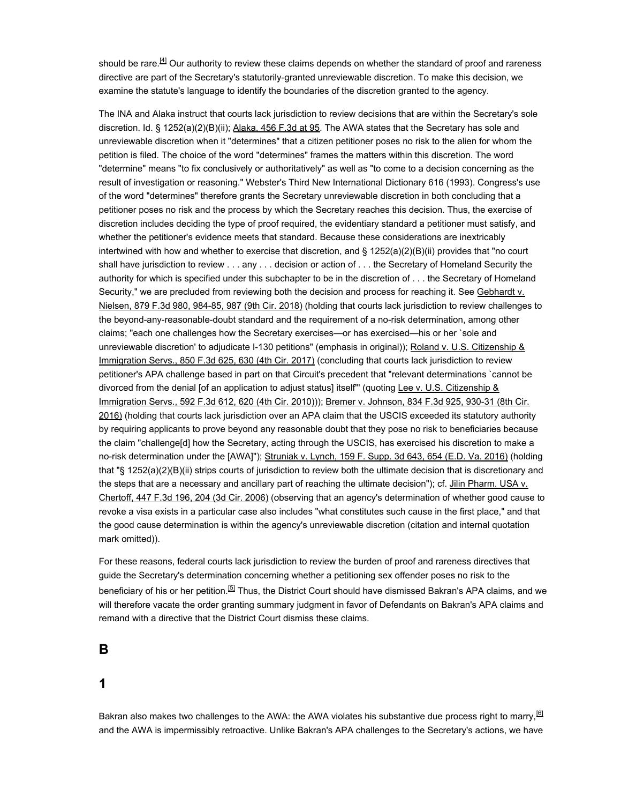should be rare.<sup>[4]</sup> Our authority to review these claims depends on whether the standard of proof and rareness directive are part of the Secretary's statutorily-granted unreviewable discretion. To make this decision, we examine the statute's language to identify the boundaries of the discretion granted to the agency.

The INA and Alaka instruct that courts lack jurisdiction to review decisions that are within the Secretary's sole discretion. Id. § 1252(a)(2)(B)(ii); Alaka, 456 F.3d at 95. The AWA states that the Secretary has sole and unreviewable discretion when it "determines" that a citizen petitioner poses no risk to the alien for whom the petition is filed. The choice of the word "determines" frames the matters within this discretion. The word "determine" means "to fix conclusively or authoritatively" as well as "to come to a decision concerning as the result of investigation or reasoning." Webster's Third New International Dictionary 616 (1993). Congress's use of the word "determines" therefore grants the Secretary unreviewable discretion in both concluding that a petitioner poses no risk and the process by which the Secretary reaches this decision. Thus, the exercise of discretion includes deciding the type of proof required, the evidentiary standard a petitioner must satisfy, and whether the petitioner's evidence meets that standard. Because these considerations are inextricably intertwined with how and whether to exercise that discretion, and § 1252(a)(2)(B)(ii) provides that "no court shall have jurisdiction to review . . . any . . . decision or action of . . . the Secretary of Homeland Security the authority for which is specified under this subchapter to be in the discretion of . . . the Secretary of Homeland Security," we are precluded from reviewing both the decision and process for reaching it. See Gebhardt v. Nielsen, 879 F.3d 980, 984-85, 987 (9th Cir. 2018) (holding that courts lack jurisdiction to review challenges to the beyond-any-reasonable-doubt standard and the requirement of a no-risk determination, among other claims; "each one challenges how the Secretary exercises—or has exercised—his or her `sole and unreviewable discretion' to adjudicate I-130 petitions" (emphasis in original)); Roland v. U.S. Citizenship & Immigration Servs., 850 F.3d 625, 630 (4th Cir. 2017) (concluding that courts lack jurisdiction to review petitioner's APA challenge based in part on that Circuit's precedent that "relevant determinations `cannot be divorced from the denial [of an application to adjust status] itself" (quoting Lee v. U.S. Citizenship & Immigration Servs., 592 F.3d 612, 620 (4th Cir. 2010))); Bremer v. Johnson, 834 F.3d 925, 930-31 (8th Cir. 2016) (holding that courts lack jurisdiction over an APA claim that the USCIS exceeded its statutory authority by requiring applicants to prove beyond any reasonable doubt that they pose no risk to beneficiaries because the claim "challenge[d] how the Secretary, acting through the USCIS, has exercised his discretion to make a no-risk determination under the [AWA]"); Struniak v. Lynch, 159 F. Supp. 3d 643, 654 (E.D. Va. 2016) (holding that "§ 1252(a)(2)(B)(ii) strips courts of jurisdiction to review both the ultimate decision that is discretionary and the steps that are a necessary and ancillary part of reaching the ultimate decision"); cf. Jilin Pharm. USA v. Chertoff, 447 F.3d 196, 204 (3d Cir. 2006) (observing that an agency's determination of whether good cause to revoke a visa exists in a particular case also includes "what constitutes such cause in the first place," and that the good cause determination is within the agency's unreviewable discretion (citation and internal quotation mark omitted)).

For these reasons, federal courts lack jurisdiction to review the burden of proof and rareness directives that guide the Secretary's determination concerning whether a petitioning sex offender poses no risk to the beneficiary of his or her petition.<sup>[5]</sup> Thus, the District Court should have dismissed Bakran's APA claims, and we will therefore vacate the order granting summary judgment in favor of Defendants on Bakran's APA claims and remand with a directive that the District Court dismiss these claims.

### **B**

## **1**

Bakran also makes two challenges to the AWA: the AWA violates his substantive due process right to marry,<sup>[6]</sup> and the AWA is impermissibly retroactive. Unlike Bakran's APA challenges to the Secretary's actions, we have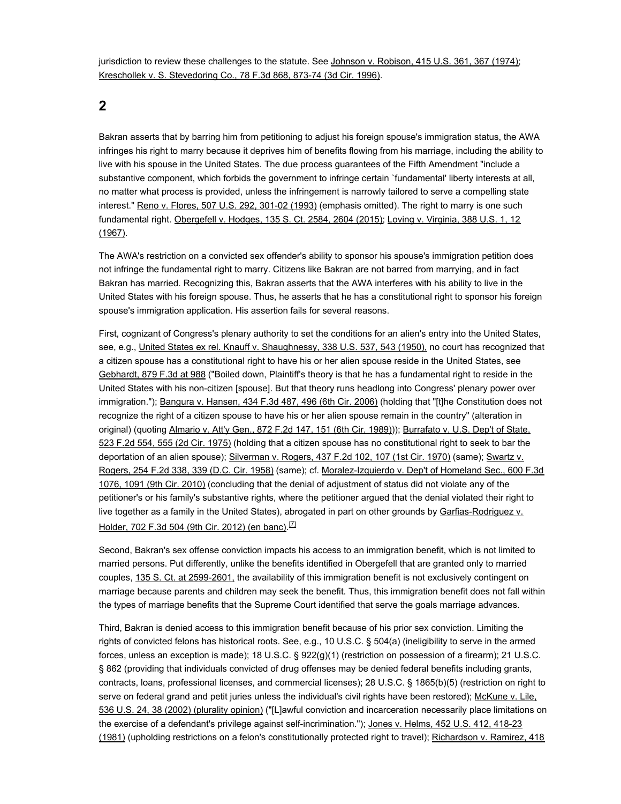jurisdiction to review these challenges to the statute. See Johnson v. Robison, 415 U.S. 361, 367 (1974); Kreschollek v. S. Stevedoring Co., 78 F.3d 868, 873-74 (3d Cir. 1996).

**2**

Bakran asserts that by barring him from petitioning to adjust his foreign spouse's immigration status, the AWA infringes his right to marry because it deprives him of benefits flowing from his marriage, including the ability to live with his spouse in the United States. The due process guarantees of the Fifth Amendment "include a substantive component, which forbids the government to infringe certain `fundamental' liberty interests at all, no matter what process is provided, unless the infringement is narrowly tailored to serve a compelling state interest." Reno v. Flores, 507 U.S. 292, 301-02 (1993) (emphasis omitted). The right to marry is one such fundamental right. Obergefell v. Hodges, 135 S. Ct. 2584, 2604 (2015); Loving v. Virginia, 388 U.S. 1, 12 (1967).

The AWA's restriction on a convicted sex offender's ability to sponsor his spouse's immigration petition does not infringe the fundamental right to marry. Citizens like Bakran are not barred from marrying, and in fact Bakran has married. Recognizing this, Bakran asserts that the AWA interferes with his ability to live in the United States with his foreign spouse. Thus, he asserts that he has a constitutional right to sponsor his foreign spouse's immigration application. His assertion fails for several reasons.

First, cognizant of Congress's plenary authority to set the conditions for an alien's entry into the United States, see, e.g., United States ex rel. Knauff v. Shaughnessy, 338 U.S. 537, 543 (1950), no court has recognized that a citizen spouse has a constitutional right to have his or her alien spouse reside in the United States, see Gebhardt, 879 F.3d at 988 ("Boiled down, Plaintiff's theory is that he has a fundamental right to reside in the United States with his non-citizen [spouse]. But that theory runs headlong into Congress' plenary power over immigration."); Bangura v. Hansen, 434 F.3d 487, 496 (6th Cir. 2006) (holding that "[t]he Constitution does not recognize the right of a citizen spouse to have his or her alien spouse remain in the country" (alteration in original) (quoting Almario v. Att'y Gen., 872 F.2d 147, 151 (6th Cir. 1989))); Burrafato v. U.S. Dep't of State, 523 F.2d 554, 555 (2d Cir. 1975) (holding that a citizen spouse has no constitutional right to seek to bar the deportation of an alien spouse); Silverman v. Rogers, 437 F.2d 102, 107 (1st Cir. 1970) (same); Swartz v. Rogers, 254 F.2d 338, 339 (D.C. Cir. 1958) (same); cf. Moralez-Izquierdo v. Dep't of Homeland Sec., 600 F.3d 1076, 1091 (9th Cir. 2010) (concluding that the denial of adjustment of status did not violate any of the petitioner's or his family's substantive rights, where the petitioner argued that the denial violated their right to live together as a family in the United States), abrogated in part on other grounds by Garfias-Rodriguez v. Holder, 702 F.3d 504 (9th Cir. 2012) (en banc).<sup>[7]</sup>

Second, Bakran's sex offense conviction impacts his access to an immigration benefit, which is not limited to married persons. Put differently, unlike the benefits identified in Obergefell that are granted only to married couples, 135 S. Ct. at 2599-2601, the availability of this immigration benefit is not exclusively contingent on marriage because parents and children may seek the benefit. Thus, this immigration benefit does not fall within the types of marriage benefits that the Supreme Court identified that serve the goals marriage advances.

Third, Bakran is denied access to this immigration benefit because of his prior sex conviction. Limiting the rights of convicted felons has historical roots. See, e.g., 10 U.S.C. § 504(a) (ineligibility to serve in the armed forces, unless an exception is made); 18 U.S.C. § 922(g)(1) (restriction on possession of a firearm); 21 U.S.C. § 862 (providing that individuals convicted of drug offenses may be denied federal benefits including grants, contracts, loans, professional licenses, and commercial licenses); 28 U.S.C. § 1865(b)(5) (restriction on right to serve on federal grand and petit juries unless the individual's civil rights have been restored); McKune v. Lile, 536 U.S. 24, 38 (2002) (plurality opinion) ("[L]awful conviction and incarceration necessarily place limitations on the exercise of a defendant's privilege against self-incrimination."); Jones v. Helms, 452 U.S. 412, 418-23 (1981) (upholding restrictions on a felon's constitutionally protected right to travel); Richardson v. Ramirez, 418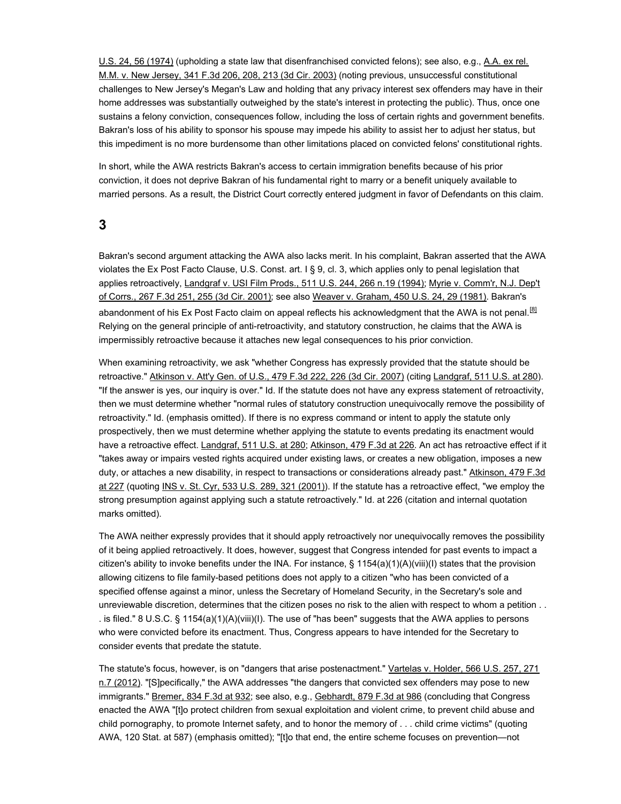U.S. 24, 56 (1974) (upholding a state law that disenfranchised convicted felons); see also, e.g., A.A. ex rel. M.M. v. New Jersey, 341 F.3d 206, 208, 213 (3d Cir. 2003) (noting previous, unsuccessful constitutional challenges to New Jersey's Megan's Law and holding that any privacy interest sex offenders may have in their home addresses was substantially outweighed by the state's interest in protecting the public). Thus, once one sustains a felony conviction, consequences follow, including the loss of certain rights and government benefits. Bakran's loss of his ability to sponsor his spouse may impede his ability to assist her to adjust her status, but this impediment is no more burdensome than other limitations placed on convicted felons' constitutional rights.

In short, while the AWA restricts Bakran's access to certain immigration benefits because of his prior conviction, it does not deprive Bakran of his fundamental right to marry or a benefit uniquely available to married persons. As a result, the District Court correctly entered judgment in favor of Defendants on this claim.

### **3**

Bakran's second argument attacking the AWA also lacks merit. In his complaint, Bakran asserted that the AWA violates the Ex Post Facto Clause, U.S. Const. art. I § 9, cl. 3, which applies only to penal legislation that applies retroactively, Landgraf v. USI Film Prods., 511 U.S. 244, 266 n.19 (1994); Myrie v. Comm'r, N.J. Dep't of Corrs., 267 F.3d 251, 255 (3d Cir. 2001); see also Weaver v. Graham, 450 U.S. 24, 29 (1981). Bakran's abandonment of his Ex Post Facto claim on appeal reflects his acknowledgment that the AWA is not penal.<sup>[8]</sup> Relying on the general principle of anti-retroactivity, and statutory construction, he claims that the AWA is impermissibly retroactive because it attaches new legal consequences to his prior conviction.

When examining retroactivity, we ask "whether Congress has expressly provided that the statute should be retroactive." Atkinson v. Att'y Gen. of U.S., 479 F.3d 222, 226 (3d Cir. 2007) (citing Landgraf, 511 U.S. at 280). "If the answer is yes, our inquiry is over." Id. If the statute does not have any express statement of retroactivity, then we must determine whether "normal rules of statutory construction unequivocally remove the possibility of retroactivity." Id. (emphasis omitted). If there is no express command or intent to apply the statute only prospectively, then we must determine whether applying the statute to events predating its enactment would have a retroactive effect. Landgraf, 511 U.S. at 280; Atkinson, 479 F.3d at 226. An act has retroactive effect if it "takes away or impairs vested rights acquired under existing laws, or creates a new obligation, imposes a new duty, or attaches a new disability, in respect to transactions or considerations already past." Atkinson, 479 F.3d at 227 (quoting INS v. St. Cyr, 533 U.S. 289, 321 (2001)). If the statute has a retroactive effect, "we employ the strong presumption against applying such a statute retroactively." Id. at 226 (citation and internal quotation marks omitted).

The AWA neither expressly provides that it should apply retroactively nor unequivocally removes the possibility of it being applied retroactively. It does, however, suggest that Congress intended for past events to impact a citizen's ability to invoke benefits under the INA. For instance, § 1154(a)(1)(A)(viii)(I) states that the provision allowing citizens to file family-based petitions does not apply to a citizen "who has been convicted of a specified offense against a minor, unless the Secretary of Homeland Security, in the Secretary's sole and unreviewable discretion, determines that the citizen poses no risk to the alien with respect to whom a petition . . . is filed." 8 U.S.C. § 1154(a)(1)(A)(viii)(I). The use of "has been" suggests that the AWA applies to persons who were convicted before its enactment. Thus, Congress appears to have intended for the Secretary to consider events that predate the statute.

The statute's focus, however, is on "dangers that arise postenactment." Vartelas v. Holder, 566 U.S. 257, 271 n.7 (2012). "[S]pecifically," the AWA addresses "the dangers that convicted sex offenders may pose to new immigrants." Bremer, 834 F.3d at 932; see also, e.g., Gebhardt, 879 F.3d at 986 (concluding that Congress enacted the AWA "[t]o protect children from sexual exploitation and violent crime, to prevent child abuse and child pornography, to promote Internet safety, and to honor the memory of . . . child crime victims" (quoting AWA, 120 Stat. at 587) (emphasis omitted); "[t]o that end, the entire scheme focuses on prevention—not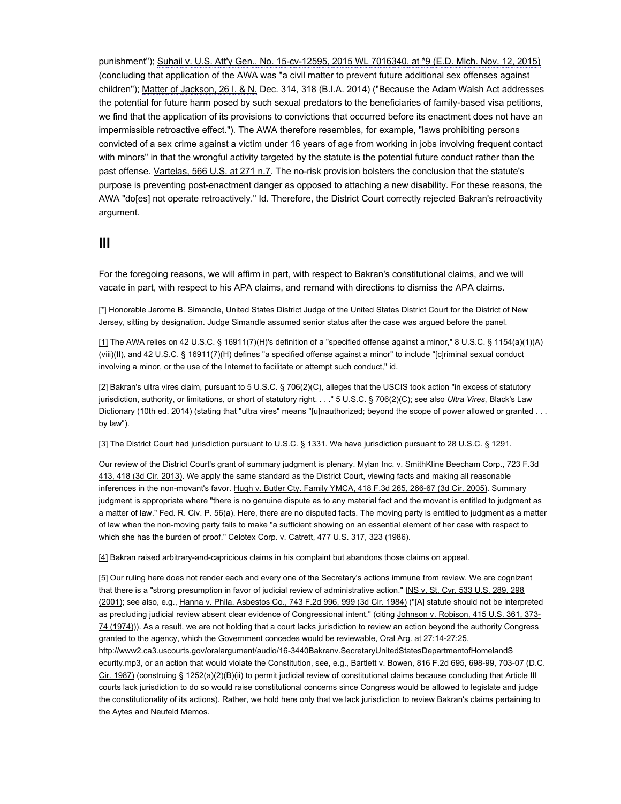punishment"); Suhail v. U.S. Att'y Gen., No. 15-cv-12595, 2015 WL 7016340, at \*9 (E.D. Mich. Nov. 12, 2015) (concluding that application of the AWA was "a civil matter to prevent future additional sex offenses against children"); Matter of Jackson, 26 I. & N. Dec. 314, 318 (B.I.A. 2014) ("Because the Adam Walsh Act addresses the potential for future harm posed by such sexual predators to the beneficiaries of family-based visa petitions, we find that the application of its provisions to convictions that occurred before its enactment does not have an impermissible retroactive effect."). The AWA therefore resembles, for example, "laws prohibiting persons convicted of a sex crime against a victim under 16 years of age from working in jobs involving frequent contact with minors" in that the wrongful activity targeted by the statute is the potential future conduct rather than the past offense. Vartelas, 566 U.S. at 271 n.7. The no-risk provision bolsters the conclusion that the statute's purpose is preventing post-enactment danger as opposed to attaching a new disability. For these reasons, the AWA "do[es] not operate retroactively." Id. Therefore, the District Court correctly rejected Bakran's retroactivity argument.

## **III**

For the foregoing reasons, we will affirm in part, with respect to Bakran's constitutional claims, and we will vacate in part, with respect to his APA claims, and remand with directions to dismiss the APA claims.

[\*] Honorable Jerome B. Simandle, United States District Judge of the United States District Court for the District of New Jersey, sitting by designation. Judge Simandle assumed senior status after the case was argued before the panel.

[1] The AWA relies on 42 U.S.C. § 16911(7)(H)'s definition of a "specified offense against a minor," 8 U.S.C. § 1154(a)(1)(A) (viii)(II), and 42 U.S.C. § 16911(7)(H) defines "a specified offense against a minor" to include "[c]riminal sexual conduct involving a minor, or the use of the Internet to facilitate or attempt such conduct," id.

[2] Bakran's ultra vires claim, pursuant to 5 U.S.C. § 706(2)(C), alleges that the USCIS took action "in excess of statutory jurisdiction, authority, or limitations, or short of statutory right. . . ." 5 U.S.C. § 706(2)(C); see also *Ultra Vires,* Black's Law Dictionary (10th ed. 2014) (stating that "ultra vires" means "[u]nauthorized; beyond the scope of power allowed or granted . . . by law").

[3] The District Court had jurisdiction pursuant to U.S.C. § 1331. We have jurisdiction pursuant to 28 U.S.C. § 1291.

Our review of the District Court's grant of summary judgment is plenary. Mylan Inc. v. SmithKline Beecham Corp., 723 F.3d 413, 418 (3d Cir. 2013). We apply the same standard as the District Court, viewing facts and making all reasonable inferences in the non-movant's favor. Hugh v. Butler Cty. Family YMCA, 418 F.3d 265, 266-67 (3d Cir. 2005). Summary judgment is appropriate where "there is no genuine dispute as to any material fact and the movant is entitled to judgment as a matter of law." Fed. R. Civ. P. 56(a). Here, there are no disputed facts. The moving party is entitled to judgment as a matter of law when the non-moving party fails to make "a sufficient showing on an essential element of her case with respect to which she has the burden of proof." Celotex Corp. v. Catrett, 477 U.S. 317, 323 (1986).

[4] Bakran raised arbitrary-and-capricious claims in his complaint but abandons those claims on appeal.

[5] Our ruling here does not render each and every one of the Secretary's actions immune from review. We are cognizant that there is a "strong presumption in favor of judicial review of administrative action." INS v. St. Cyr, 533 U.S. 289, 298 (2001); see also, e.g., Hanna v. Phila. Asbestos Co., 743 F.2d 996, 999 (3d Cir. 1984) ("[A] statute should not be interpreted as precluding judicial review absent clear evidence of Congressional intent." (citing Johnson v. Robison, 415 U.S. 361, 373-74 (1974))). As a result, we are not holding that a court lacks jurisdiction to review an action beyond the authority Congress granted to the agency, which the Government concedes would be reviewable, Oral Arg. at 27:14-27:25, http://www2.ca3.uscourts.gov/oralargument/audio/16-3440Bakranv.SecretaryUnitedStatesDepartmentofHomelandS ecurity.mp3, or an action that would violate the Constitution, see, e.g., Bartlett v. Bowen, 816 F.2d 695, 698-99, 703-07 (D.C. Cir. 1987) (construing § 1252(a)(2)(B)(ii) to permit judicial review of constitutional claims because concluding that Article III courts lack jurisdiction to do so would raise constitutional concerns since Congress would be allowed to legislate and judge the constitutionality of its actions). Rather, we hold here only that we lack jurisdiction to review Bakran's claims pertaining to the Aytes and Neufeld Memos.